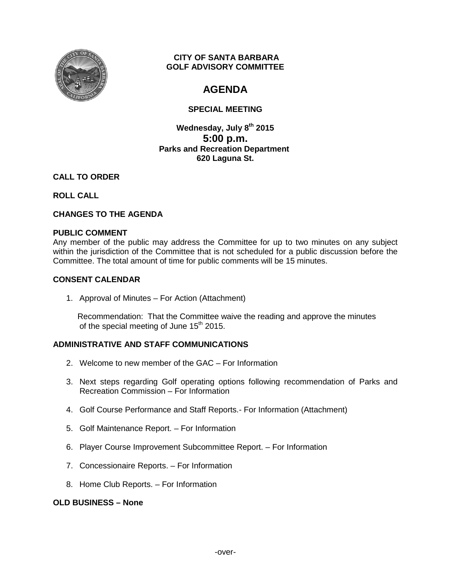

### **CITY OF SANTA BARBARA GOLF ADVISORY COMMITTEE**

# **AGENDA**

# **SPECIAL MEETING**

**Wednesday, July 8th 2015 5:00 p.m. Parks and Recreation Department 620 Laguna St.**

## **CALL TO ORDER**

## **ROLL CALL**

# **CHANGES TO THE AGENDA**

### **PUBLIC COMMENT**

Any member of the public may address the Committee for up to two minutes on any subject within the jurisdiction of the Committee that is not scheduled for a public discussion before the Committee. The total amount of time for public comments will be 15 minutes.

### **CONSENT CALENDAR**

1. Approval of Minutes – For Action (Attachment)

 Recommendation: That the Committee waive the reading and approve the minutes of the special meeting of June  $15<sup>th</sup>$  2015.

### **ADMINISTRATIVE AND STAFF COMMUNICATIONS**

- 2. Welcome to new member of the GAC For Information
- 3. Next steps regarding Golf operating options following recommendation of Parks and Recreation Commission – For Information
- 4. Golf Course Performance and Staff Reports.- For Information (Attachment)
- 5. Golf Maintenance Report. For Information
- 6. Player Course Improvement Subcommittee Report. For Information
- 7. Concessionaire Reports. For Information
- 8. Home Club Reports. For Information

#### **OLD BUSINESS – None**